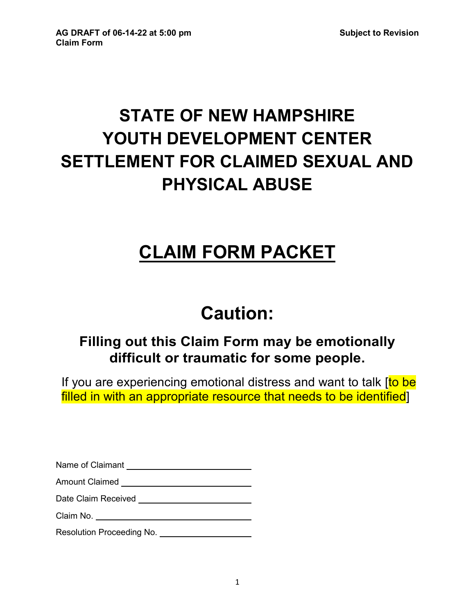# **STATE OF NEW HAMPSHIRE YOUTH DEVELOPMENT CENTER SETTLEMENT FOR CLAIMED SEXUAL AND PHYSICAL ABUSE**

# **CLAIM FORM PACKET**

# **Caution:**

### **Filling out this Claim Form may be emotionally difficult or traumatic for some people.**

If you are experiencing emotional distress and want to talk [to be filled in with an appropriate resource that needs to be identified]

| Name of Claimant |
|------------------|
|                  |

| <b>Amount Claimed</b> |  |
|-----------------------|--|
|                       |  |

Date Claim Received

Claim No.

Resolution Proceeding No.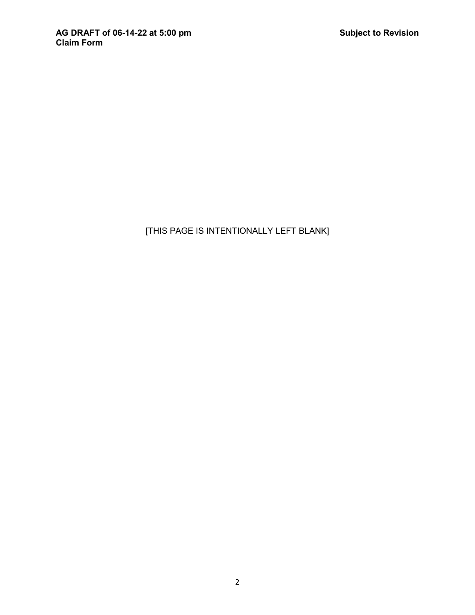### [THIS PAGE IS INTENTIONALLY LEFT BLANK]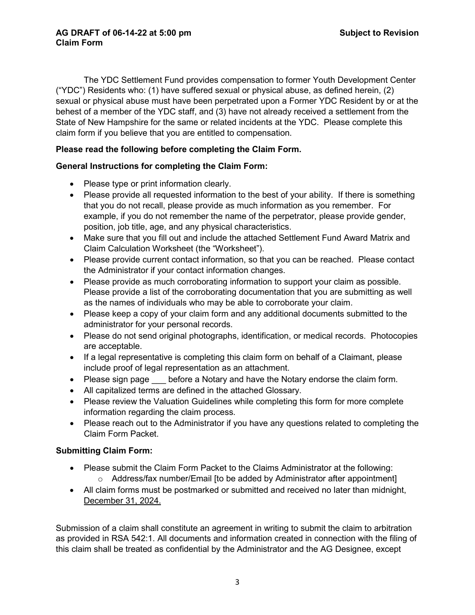The YDC Settlement Fund provides compensation to former Youth Development Center ("YDC") Residents who: (1) have suffered sexual or physical abuse, as defined herein, (2) sexual or physical abuse must have been perpetrated upon a Former YDC Resident by or at the behest of a member of the YDC staff, and (3) have not already received a settlement from the State of New Hampshire for the same or related incidents at the YDC. Please complete this claim form if you believe that you are entitled to compensation.

#### **Please read the following before completing the Claim Form.**

#### **General Instructions for completing the Claim Form:**

- Please type or print information clearly.
- Please provide all requested information to the best of your ability. If there is something that you do not recall, please provide as much information as you remember. For example, if you do not remember the name of the perpetrator, please provide gender, position, job title, age, and any physical characteristics.
- Make sure that you fill out and include the attached Settlement Fund Award Matrix and Claim Calculation Worksheet (the "Worksheet").
- Please provide current contact information, so that you can be reached. Please contact the Administrator if your contact information changes.
- Please provide as much corroborating information to support your claim as possible. Please provide a list of the corroborating documentation that you are submitting as well as the names of individuals who may be able to corroborate your claim.
- Please keep a copy of your claim form and any additional documents submitted to the administrator for your personal records.
- Please do not send original photographs, identification, or medical records. Photocopies are acceptable.
- If a legal representative is completing this claim form on behalf of a Claimant, please include proof of legal representation as an attachment.
- Please sign page before a Notary and have the Notary endorse the claim form.
- All capitalized terms are defined in the attached Glossary.
- Please review the Valuation Guidelines while completing this form for more complete information regarding the claim process.
- Please reach out to the Administrator if you have any questions related to completing the Claim Form Packet.

#### **Submitting Claim Form:**

- Please submit the Claim Form Packet to the Claims Administrator at the following:  $\circ$  Address/fax number/Email [to be added by Administrator after appointment]
- All claim forms must be postmarked or submitted and received no later than midnight, December 31, 2024.

Submission of a claim shall constitute an agreement in writing to submit the claim to arbitration as provided in RSA 542:1. All documents and information created in connection with the filing of this claim shall be treated as confidential by the Administrator and the AG Designee, except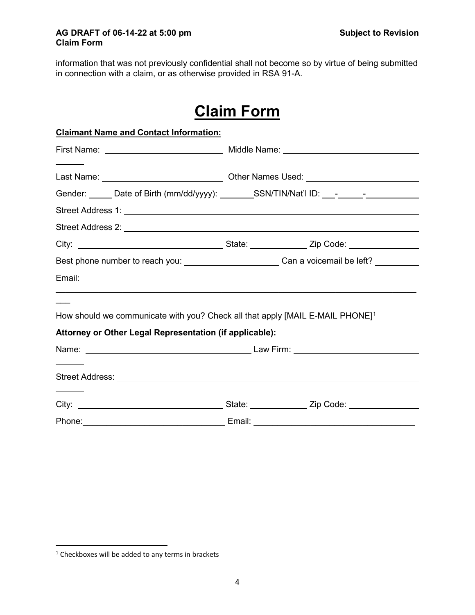information that was not previously confidential shall not become so by virtue of being submitted in connection with a claim, or as otherwise provided in RSA 91-A.

## **Claim Form**

| <b>Claimant Name and Contact Information:</b>                                                                           |                                                                                                                          |  |  |
|-------------------------------------------------------------------------------------------------------------------------|--------------------------------------------------------------------------------------------------------------------------|--|--|
|                                                                                                                         | First Name: <u>New York Channels</u> Middle Name: Name: Name: New York Channels Allen Name: New York Channels Allen Name |  |  |
| Last Name: ___________________________________Other Names Used: ________________                                        |                                                                                                                          |  |  |
|                                                                                                                         | Gender: _____ Date of Birth (mm/dd/yyyy): _______SSN/TIN/Nat'l ID: ___-_____-____                                        |  |  |
|                                                                                                                         |                                                                                                                          |  |  |
|                                                                                                                         |                                                                                                                          |  |  |
|                                                                                                                         |                                                                                                                          |  |  |
| Best phone number to reach you: Can a voicemail be left?                                                                |                                                                                                                          |  |  |
| Email:                                                                                                                  |                                                                                                                          |  |  |
| <u> 1989 - Johann Harry Harry Harry Harry Harry Harry Harry Harry Harry Harry Harry Harry Harry Harry Harry Harry H</u> |                                                                                                                          |  |  |
| How should we communicate with you? Check all that apply [MAIL E-MAIL PHONE] <sup>1</sup>                               |                                                                                                                          |  |  |
| Attorney or Other Legal Representation (if applicable):                                                                 |                                                                                                                          |  |  |
|                                                                                                                         | Name: Law Firm: Law Firm:                                                                                                |  |  |
| Street Address: North American Street Address: North American Street Address: North American Street Address: No         |                                                                                                                          |  |  |
|                                                                                                                         |                                                                                                                          |  |  |
|                                                                                                                         |                                                                                                                          |  |  |

l

<span id="page-3-0"></span><sup>&</sup>lt;sup>1</sup> Checkboxes will be added to any terms in brackets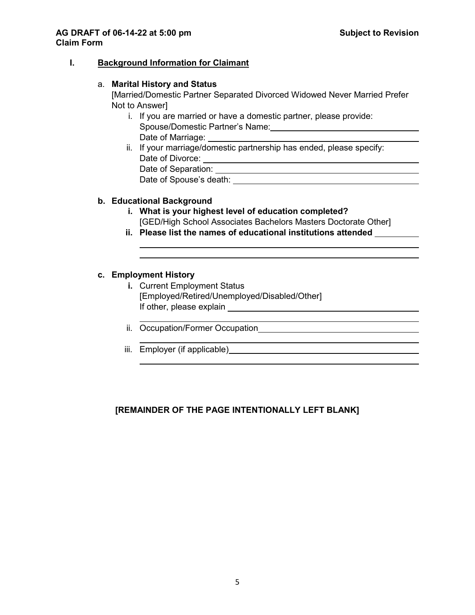#### **I. Background Information for Claimant**

#### a. **Marital History and Status**

[Married/Domestic Partner Separated Divorced Widowed Never Married Prefer Not to Answer]

- i. If you are married or have a domestic partner, please provide: Spouse/Domestic Partner's Name: **Manual Access 1986** Date of Marriage:
- ii. If your marriage/domestic partnership has ended, please specify: Date of Divorce: Date of Separation: Date of Spouse's death:

#### **b. Educational Background**

- **i. What is your highest level of education completed?** [GED/High School Associates Bachelors Masters Doctorate Other]
- **ii. Please list the names of educational institutions attended**

#### **c. Employment History**

 $\overline{a}$ 

 $\overline{\phantom{a}}$ 

 $\overline{a}$ 

- **i.** Current Employment Status [Employed/Retired/Unemployed/Disabled/Other] If other, please explain **contain the set of the set of the set of the set of the set of the set of the set of the set of the set of the set of the set of the set of the set of the set of the set of the set of the set of t**
- ii. Occupation/Former Occupation
- iii. Employer (if applicable)<u>.</u>

#### **[REMAINDER OF THE PAGE INTENTIONALLY LEFT BLANK]**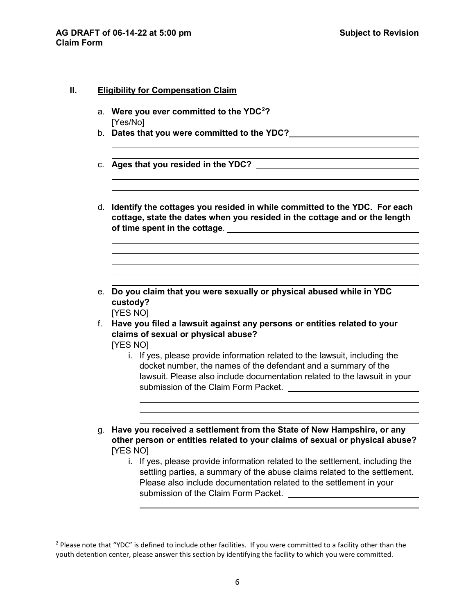$\overline{\phantom{a}}$  $\overline{\phantom{a}}$ 

 $\overline{\phantom{a}}$ 

 $\overline{\phantom{a}}$ 

#### **II. Eligibility for Compensation Claim**

- a. **Were you ever committed to the YDC[2](#page-5-0) ?** [Yes/No]
- b. **Dates that you were committed to the YDC?**
- c. **Ages that you resided in the YDC?**
- d. **Identify the cottages you resided in while committed to the YDC. For each cottage, state the dates when you resided in the cottage and or the length of time spent in the cottage**.
- $\overline{\phantom{a}}$ e. **Do you claim that you were sexually or physical abused while in YDC custody?**

[YES NO]

f. **Have you filed a lawsuit against any persons or entities related to your claims of sexual or physical abuse?**

[YES NO]

 $\overline{a}$ 

 $\overline{\phantom{a}}$ 

 $\overline{a}$ 

 $\overline{a}$ 

- i. If yes, please provide information related to the lawsuit, including the docket number, the names of the defendant and a summary of the lawsuit. Please also include documentation related to the lawsuit in your submission of the Claim Form Packet.
- g. **Have you received a settlement from the State of New Hampshire, or any other person or entities related to your claims of sexual or physical abuse? IYES NOI** 
	- i. If yes, please provide information related to the settlement, including the settling parties, a summary of the abuse claims related to the settlement. Please also include documentation related to the settlement in your submission of the Claim Form Packet.

<span id="page-5-0"></span><sup>&</sup>lt;sup>2</sup> Please note that "YDC" is defined to include other facilities. If you were committed to a facility other than the youth detention center, please answer this section by identifying the facility to which you were committed.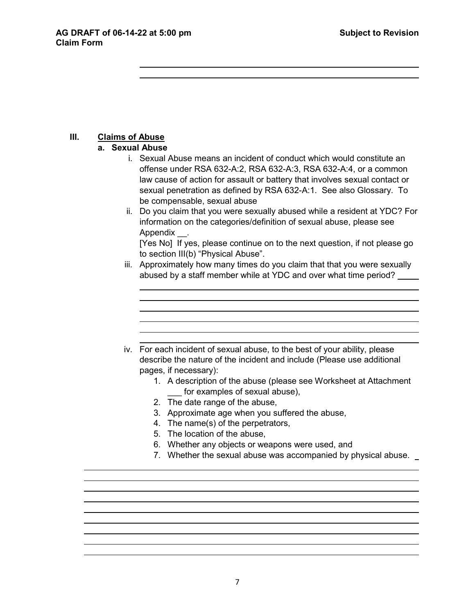$\overline{a}$  $\overline{\phantom{a}}$ 

#### **III. Claims of Abuse**

#### **a. Sexual Abuse**

 $\overline{\phantom{a}}$ 

 $\overline{\phantom{a}}$ 

 $\overline{a}$ 

- i. Sexual Abuse means an incident of conduct which would constitute an offense under RSA 632-A:2, RSA 632-A:3, RSA 632-A:4, or a common law cause of action for assault or battery that involves sexual contact or sexual penetration as defined by RSA 632-A:1. See also Glossary. To be compensable, sexual abuse
- ii. Do you claim that you were sexually abused while a resident at YDC? For information on the categories/definition of sexual abuse, please see Appendix .

[Yes No] If yes, please continue on to the next question, if not please go to section III(b) "Physical Abuse".

iii. Approximately how many times do you claim that that you were sexually abused by a staff member while at YDC and over what time period?

- iv. For each incident of sexual abuse, to the best of your ability, please describe the nature of the incident and include (Please use additional pages, if necessary):
	- 1. A description of the abuse (please see Worksheet at Attachment \_\_\_ for examples of sexual abuse),
	- 2. The date range of the abuse,
	- 3. Approximate age when you suffered the abuse,
	- 4. The name(s) of the perpetrators,
	- 5. The location of the abuse,
	- 6. Whether any objects or weapons were used, and
	- 7. Whether the sexual abuse was accompanied by physical abuse.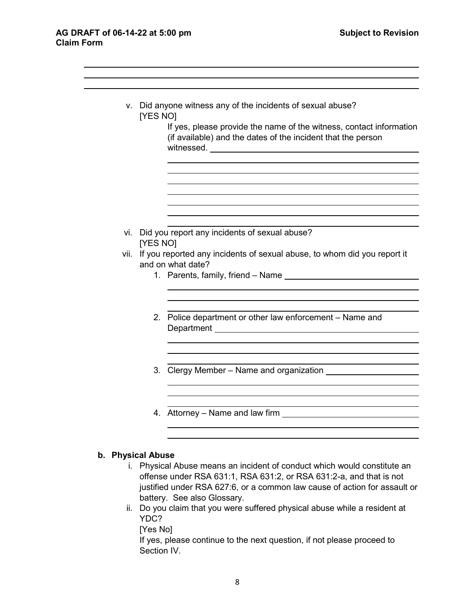$\overline{a}$ 

 $\overline{a}$ 

|    | [YES NO]          | v. Did anyone witness any of the incidents of sexual abuse?<br>If yes, please provide the name of the witness, contact information<br>(if available) and the dates of the incident that the person                                  |
|----|-------------------|-------------------------------------------------------------------------------------------------------------------------------------------------------------------------------------------------------------------------------------|
|    |                   |                                                                                                                                                                                                                                     |
|    | [YES NO]          | vi. Did you report any incidents of sexual abuse?<br>vii. If you reported any incidents of sexual abuse, to whom did you report it                                                                                                  |
|    |                   | and on what date?<br>1. Parents, family, friend – Name                                                                                                                                                                              |
|    |                   | 2. Police department or other law enforcement - Name and                                                                                                                                                                            |
|    |                   |                                                                                                                                                                                                                                     |
|    |                   | 4. Attorney – Name and law firm <u>entitled</u> and the state of the state of the state of the state of the state of the state of the state of the state of the state of the state of the state of the state of the state of the st |
| L. | b. Physical Abuse | Physical Abuse means an incident of conduct which would constitute an<br>offense under RSA 631:1, RSA 631:2, or RSA 631:2-a, and that is not                                                                                        |

battery. See also Glossary. ii. Do you claim that you were suffered physical abuse while a resident at YDC?

justified under RSA 627:6, or a common law cause of action for assault or

[Yes No]

If yes, please continue to the next question, if not please proceed to Section IV.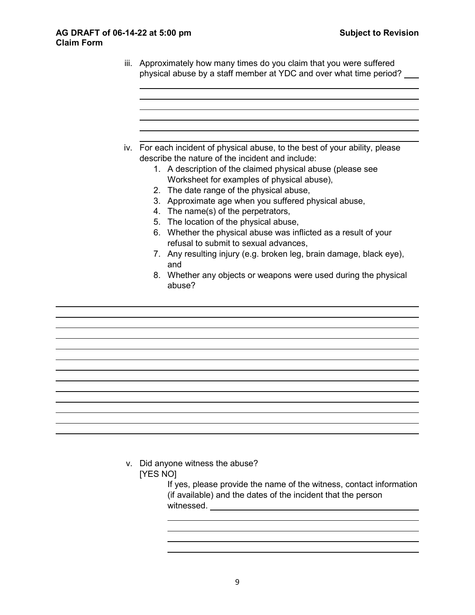#### **AG DRAFT of 06-14-22 at 5:00 pm Subject to Revision Claim Form**

 $\overline{a}$ 

 $\overline{a}$ 

 $\overline{a}$ 

iii. Approximately how many times do you claim that you were suffered physical abuse by a staff member at YDC and over what time period?

 $\overline{a}$ iv. For each incident of physical abuse, to the best of your ability, please describe the nature of the incident and include:

- 1. A description of the claimed physical abuse (please see Worksheet for examples of physical abuse),
- 2. The date range of the physical abuse,
- 3. Approximate age when you suffered physical abuse,
- 4. The name(s) of the perpetrators,
- 5. The location of the physical abuse,
- 6. Whether the physical abuse was inflicted as a result of your refusal to submit to sexual advances,
- 7. Any resulting injury (e.g. broken leg, brain damage, black eye), and
- 8. Whether any objects or weapons were used during the physical abuse?

v. Did anyone witness the abuse? [YES NO]

 $\overline{\phantom{a}}$ 

If yes, please provide the name of the witness, contact information (if available) and the dates of the incident that the person witnessed. **Witnessed.**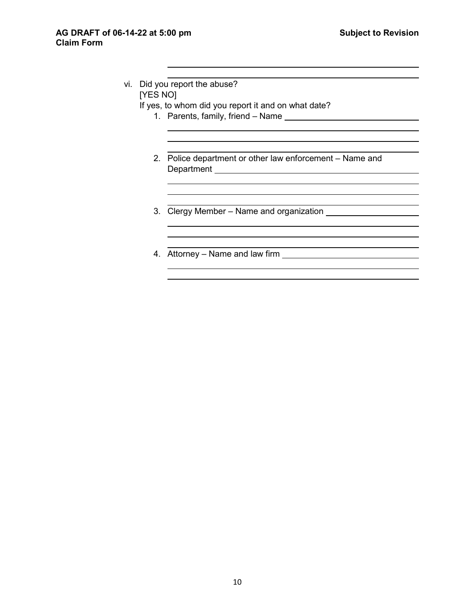<u> 1980 - Johann Barbara, martxa amerikan personal (h. 1980).</u>

<u> 1980 - Johann Barn, mars an t-Amerikaansk politiker (\* 1908)</u>

vi. Did you report the abuse? [YES NO]

 $\overline{a}$  $\overline{\phantom{a}}$ 

 $\overline{\phantom{a}}$ 

 $\overline{\phantom{a}}$ 

 $\overline{\phantom{a}}$ 

 $\overline{\phantom{a}}$ 

 $\overline{a}$ 

 $\overline{a}$ 

 $\overline{\phantom{a}}$  $\overline{a}$ 

If yes, to whom did you report it and on what date?

- 1. Parents, family, friend Name
- 2. Police department or other law enforcement Name and Department

- 3. Clergy Member Name and organization
- 4. Attorney Name and law firm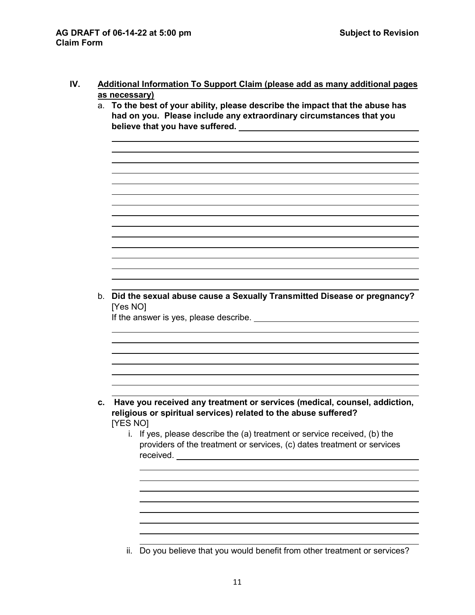$\overline{a}$ 

 $\overline{\phantom{a}}$ 

 $\overline{a}$ 

 $\overline{\phantom{a}}$ 

 $\overline{a}$ 

 $\overline{a}$ 

- **IV. Additional Information To Support Claim (please add as many additional pages as necessary)**
	- a. **To the best of your ability, please describe the impact that the abuse has had on you. Please include any extraordinary circumstances that you believe that you have suffered.**

b. **Did the sexual abuse cause a Sexually Transmitted Disease or pregnancy?** [Yes NO] If the answer is yes, please describe.

- **c. Have you received any treatment or services (medical, counsel, addiction, religious or spiritual services) related to the abuse suffered?** [YES NO]
	- i. If yes, please describe the (a) treatment or service received, (b) the providers of the treatment or services, (c) dates treatment or services received. <u>Contract the contract of the contract of the contract of the contract of the contract of the contract of the contract of the contract of the contract of the contract of the contract of the contract of the contra</u>

ii. Do you believe that you would benefit from other treatment or services?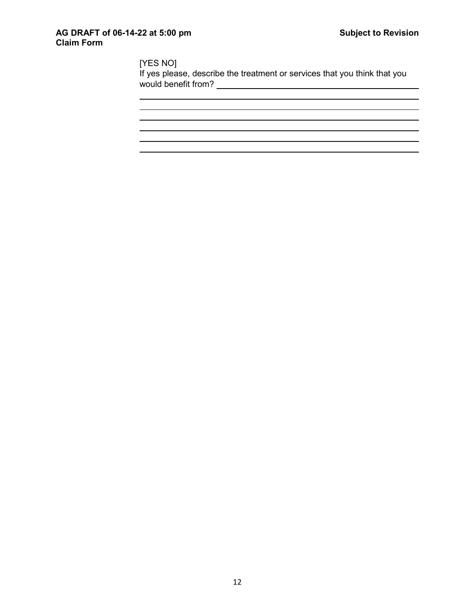#### AG DRAFT of 06-14-22 at 5:00 pm<br>
Subject to Revision **Claim Form**

### [YES NO]

 $\overline{a}$ 

 $\overline{a}$ 

If yes please, describe the treatment or services that you think that you would benefit from?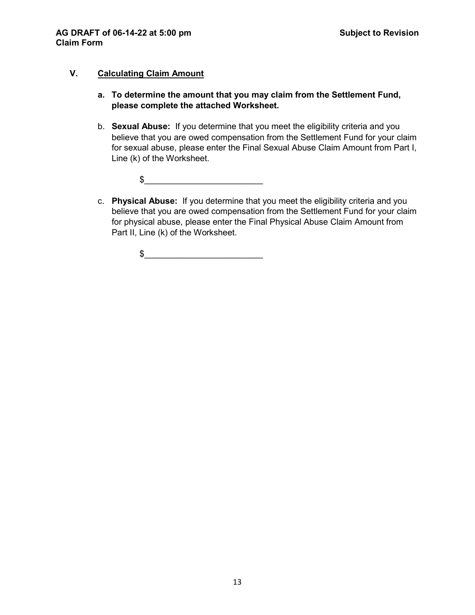#### **V. Calculating Claim Amount**

- **a. To determine the amount that you may claim from the Settlement Fund, please complete the attached Worksheet.**
- b. **Sexual Abuse:** If you determine that you meet the eligibility criteria and you believe that you are owed compensation from the Settlement Fund for your claim for sexual abuse, please enter the Final Sexual Abuse Claim Amount from Part I, Line (k) of the Worksheet.

 $\frac{1}{2}$   $\frac{1}{2}$   $\frac{1}{2}$   $\frac{1}{2}$   $\frac{1}{2}$   $\frac{1}{2}$   $\frac{1}{2}$   $\frac{1}{2}$   $\frac{1}{2}$   $\frac{1}{2}$   $\frac{1}{2}$   $\frac{1}{2}$   $\frac{1}{2}$   $\frac{1}{2}$   $\frac{1}{2}$   $\frac{1}{2}$   $\frac{1}{2}$   $\frac{1}{2}$   $\frac{1}{2}$   $\frac{1}{2}$   $\frac{1}{2}$   $\frac{1}{2}$ 

c. **Physical Abuse:** If you determine that you meet the eligibility criteria and you believe that you are owed compensation from the Settlement Fund for your claim for physical abuse, please enter the Final Physical Abuse Claim Amount from Part II, Line (k) of the Worksheet.

 $\frac{1}{2}$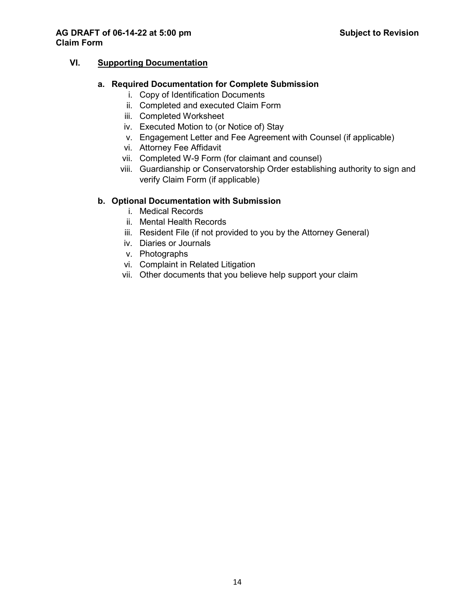#### **VI. Supporting Documentation**

#### **a. Required Documentation for Complete Submission**

- i. Copy of Identification Documents
- ii. Completed and executed Claim Form
- iii. Completed Worksheet
- iv. Executed Motion to (or Notice of) Stay
- v. Engagement Letter and Fee Agreement with Counsel (if applicable)
- vi. Attorney Fee Affidavit
- vii. Completed W-9 Form (for claimant and counsel)
- viii. Guardianship or Conservatorship Order establishing authority to sign and verify Claim Form (if applicable)

#### **b. Optional Documentation with Submission**

- i. Medical Records
- ii. Mental Health Records
- iii. Resident File (if not provided to you by the Attorney General)
- iv. Diaries or Journals
- v. Photographs
- vi. Complaint in Related Litigation
- vii. Other documents that you believe help support your claim